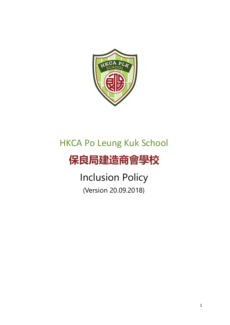

# HKCA Po Leung Kuk School

# **保良局建造商會學校**

Inclusion Policy (Version 20.09.2018)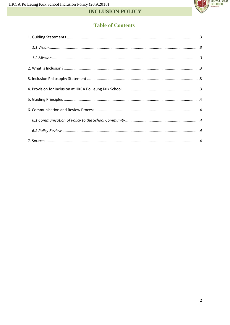

# **INCLUSION POLICY**

# **Table of Contents**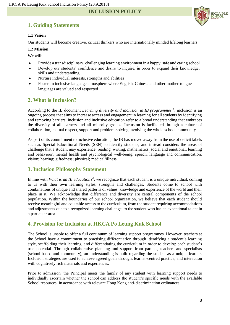**INCLUSION POLICY**

# <span id="page-2-0"></span>**1. Guiding Statements**



#### <span id="page-2-1"></span>**1.1 Vision**

Our students will become creative, critical thinkers who are internationally minded lifelong learners

#### <span id="page-2-2"></span>**1.2 Mission**

We will:

- Provide a transdisciplinary, challenging learning environment in a happy, safe and caring school
- Develop our students' confidence and desire to inquire, in order to expand their knowledge, skills and understanding
- Nurture individual interests, strengths and abilities
- Foster an inclusive language atmosphere where English, Chinese and other mother-tongue languages are valued and respected

#### <span id="page-2-3"></span>**2. What is Inclusion?**

According to the IB document *Learning diversity and inclusion in IB programmes*<sup>1</sup>, inclusion is an ongoing process that aims to increase access and engagement in learning for all students by identifying and removing barriers. Inclusion and inclusive education refer to a broad understanding that embraces the diversity of all learners and all minority groups. Inclusion is facilitated through a culture of collaboration, mutual respect, support and problem-solving involving the whole school community.

As part of its commitment to inclusive education, the IB has moved away from the use of deficit labels such as Special Educational Needs (SEN) to identify students, and instead considers the areas of challenge that a student may experience: reading; writing, mathematics; social and emotional, learning and behaviour; mental health and psychological well-being; speech, language and communication; vision; hearing; giftedness; physical; medical/illness.

#### <span id="page-2-4"></span>**3. Inclusion Philosophy Statement**

In line with *What is an IB education?*<sup>2</sup>, we recognize that each student is a unique individual, coming to us with their own learning styles, strengths and challenges. Students come to school with combinations of unique and shared patterns of values, knowledge and experience of the world and their place in it. We acknowledge that difference and diversity are central components of the school population. Within the boundaries of our school organization, we believe that each student should receive meaningful and equitable access to the curriculum, from the student requiring accommodations and adjustments due to a recognized learning challenge, to the student who has an exceptional talent in a particular area.

### <span id="page-2-5"></span>**4. Provision for Inclusion at HKCA Po Leung Kuk School**

The School is unable to offer a full continuum of learning support programmes. However, teachers at the School have a commitment to practising differentiation through identifying a student's learning style, scaffolding their learning, and differentiating the curriculum in order to develop each student's true potential. Through collaborative planning and support from parents, teachers and specialists (school-based and community), an understanding is built regarding the student as a unique learner. Inclusion strategies are used to achieve agreed goals through, learner-centred practice, and interaction with cognitively rich materials and experiences.

Prior to admission, the Principal meets the family of any student with learning support needs to individually ascertain whether the school can address the student's specific needs with the available School resources, in accordance with relevant Hong Kong anti-discrimination ordinances.